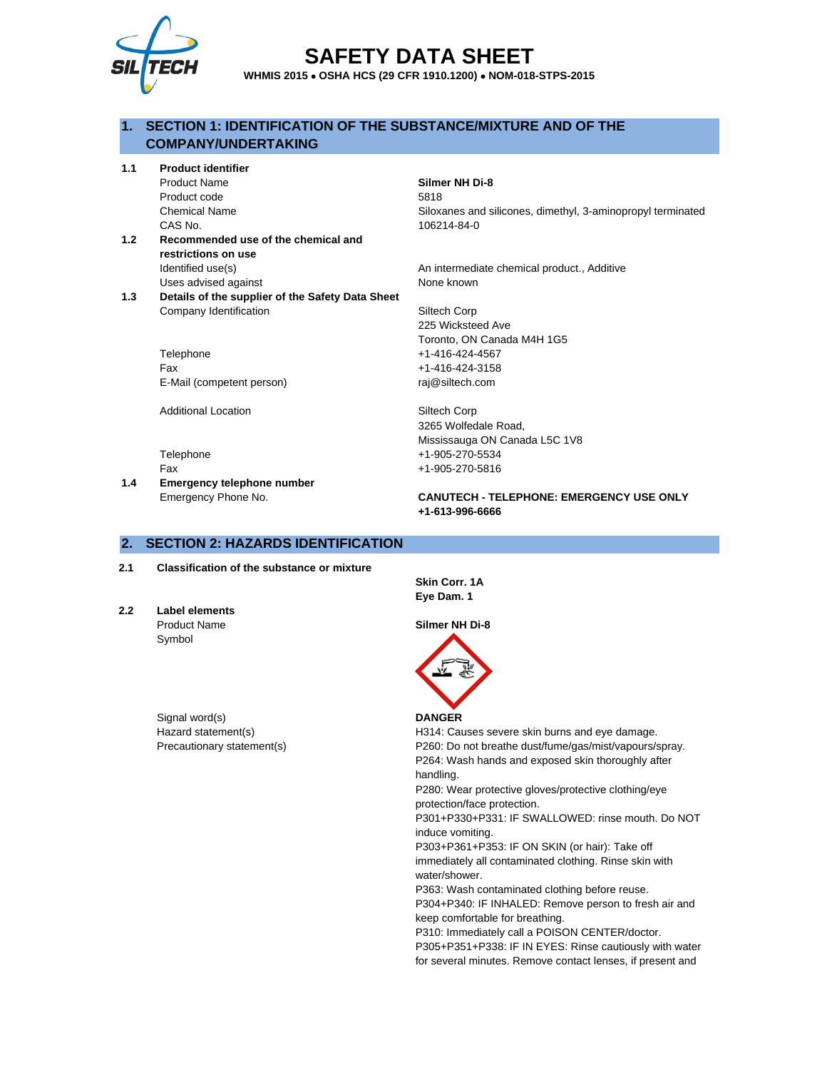

# **SAFETY DATA SHEET**

**WHMIS 2015** • **OSHA HCS (29 CFR 1910.1200)** • **NOM-018-STPS-2015**

## **1. SECTION 1: IDENTIFICATION OF THE SUBSTANCE/MIXTURE AND OF THE COMPANY/UNDERTAKING**

**1.1 Product identifier**

Product code 5818 CAS No. 106214-84-0

- **1.2 Recommended use of the chemical and restrictions on use** Identified use(s) local controller and the Manuscriter An intermediate chemical product., Additive Uses advised against None known
- **1.3 Details of the supplier of the Safety Data Sheet** Company Identification Siltech Corp

Telephone +1-416-424-4567 Fax +1-416-424-3158 E-Mail (competent person) raj@siltech.com

Additional Location **Siltech Corp** 

**1.4 Emergency telephone number**

## Product Name **Silmer NH Di-8**

Chemical Name Siloxanes and silicones, dimethyl, 3-aminopropyl terminated

225 Wicksteed Ave Toronto, ON Canada M4H 1G5

3265 Wolfedale Road, Mississauga ON Canada L5C 1V8 Telephone +1-905-270-5534 Fax +1-905-270-5816

Emergency Phone No. **CANUTECH - TELEPHONE: EMERGENCY USE ONLY +1-613-996-6666**

## **2. SECTION 2: HAZARDS IDENTIFICATION**

- **2.1 Classification of the substance or mixture**
- **2.2 Label elements** Product Name **Silmer NH Di-8** Symbol

Signal word(s) **DANGER** 

**Skin Corr. 1A Eye Dam. 1**



Hazard statement(s) The H314: Causes severe skin burns and eye damage. Precautionary statement(s) example and the P260: Do not breathe dust/fume/gas/mist/vapours/spray. P264: Wash hands and exposed skin thoroughly after handling. P280: Wear protective gloves/protective clothing/eye protection/face protection. P301+P330+P331: IF SWALLOWED: rinse mouth. Do NOT induce vomiting. P303+P361+P353: IF ON SKIN (or hair): Take off immediately all contaminated clothing. Rinse skin with water/shower. P363: Wash contaminated clothing before reuse. P304+P340: IF INHALED: Remove person to fresh air and keep comfortable for breathing.

P310: Immediately call a POISON CENTER/doctor. P305+P351+P338: IF IN EYES: Rinse cautiously with water for several minutes. Remove contact lenses, if present and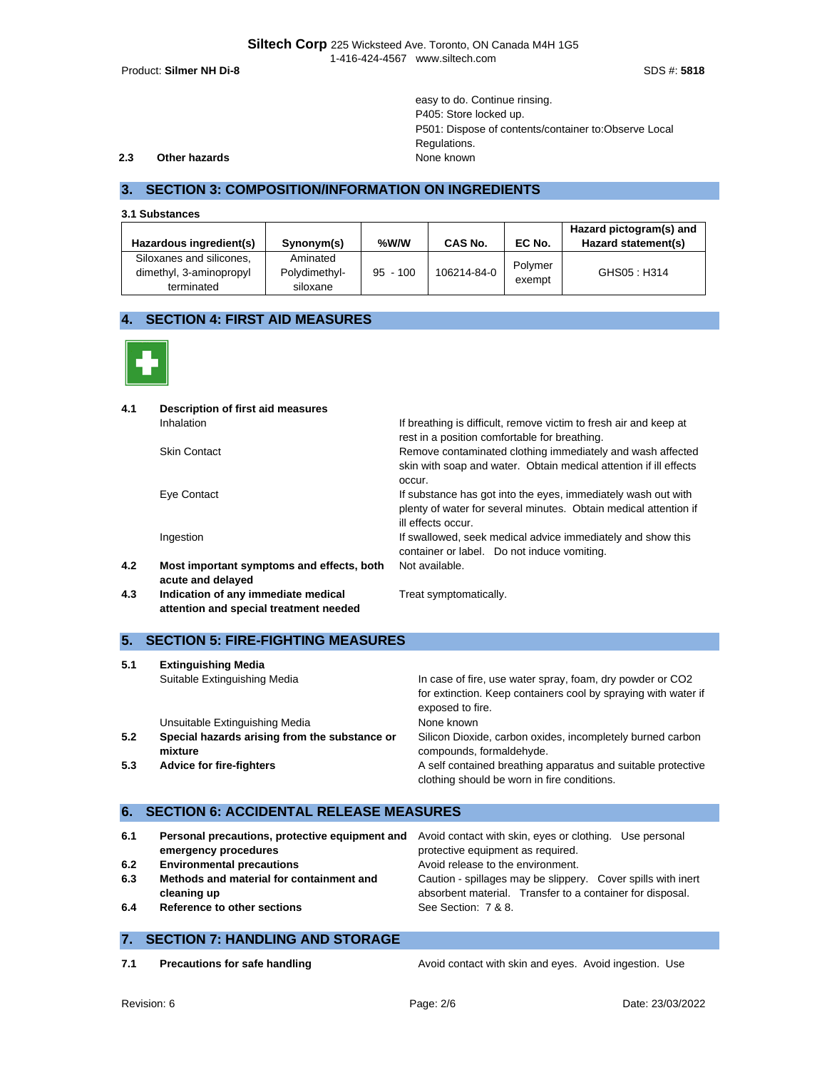Product: **Silmer NH Di-8** SDS #: **5818**

easy to do. Continue rinsing. P405: Store locked up. P501: Dispose of contents/container to:Observe Local Regulations.

#### **2.3 Other hazards None known**

## **3. SECTION 3: COMPOSITION/INFORMATION ON INGREDIENTS**

**3.1 Substances**

| Hazardous ingredient(s)  | Synonym(s)    | %W/W       | CAS No.     | EC No.  | Hazard pictogram(s) and<br>Hazard statement(s) |
|--------------------------|---------------|------------|-------------|---------|------------------------------------------------|
| Siloxanes and silicones, | Aminated      |            |             | Polymer |                                                |
| dimethyl, 3-aminopropyl  | Polydimethyl- | $95 - 100$ | 106214-84-0 | exempt  | GHS05: H314                                    |
| terminated               | siloxane      |            |             |         |                                                |

## **4. SECTION 4: FIRST AID MEASURES**



| 4.1 | Description of first aid measures                                             |                                                                                                                                                         |
|-----|-------------------------------------------------------------------------------|---------------------------------------------------------------------------------------------------------------------------------------------------------|
|     | Inhalation                                                                    | If breathing is difficult, remove victim to fresh air and keep at<br>rest in a position comfortable for breathing.                                      |
|     | <b>Skin Contact</b>                                                           | Remove contaminated clothing immediately and wash affected<br>skin with soap and water. Obtain medical attention if ill effects<br>occur.               |
|     | Eye Contact                                                                   | If substance has got into the eyes, immediately wash out with<br>plenty of water for several minutes. Obtain medical attention if<br>ill effects occur. |
|     | Ingestion                                                                     | If swallowed, seek medical advice immediately and show this<br>container or label. Do not induce vomiting.                                              |
| 4.2 | Most important symptoms and effects, both<br>acute and delayed                | Not available.                                                                                                                                          |
| 4.3 | Indication of any immediate medical<br>attention and special treatment needed | Treat symptomatically.                                                                                                                                  |

## **5. SECTION 5: FIRE-FIGHTING MEASURES**

| 5.1 | <b>Extinguishing Media</b>                               |                                                                                                             |
|-----|----------------------------------------------------------|-------------------------------------------------------------------------------------------------------------|
|     | Suitable Extinguishing Media                             | In case of fire, use water spray, foam, dry powder or CO2                                                   |
|     |                                                          | for extinction. Keep containers cool by spraying with water if<br>exposed to fire.                          |
|     | Unsuitable Extinguishing Media                           | None known                                                                                                  |
| 5.2 | Special hazards arising from the substance or<br>mixture | Silicon Dioxide, carbon oxides, incompletely burned carbon<br>compounds, formaldehyde.                      |
| 5.3 | <b>Advice for fire-fighters</b>                          | A self contained breathing apparatus and suitable protective<br>clothing should be worn in fire conditions. |

## **6. SECTION 6: ACCIDENTAL RELEASE MEASURES**

| emergency procedures<br><b>Environmental precautions</b><br>Methods and material for containment and<br>cleaning up | <b>Personal precautions, protective equipment and</b> Avoid contact with skin, eyes or clothing. Use personal<br>protective equipment as required.<br>Avoid release to the environment.<br>Caution - spillages may be slippery. Cover spills with inert<br>absorbent material. Transfer to a container for disposal. |
|---------------------------------------------------------------------------------------------------------------------|----------------------------------------------------------------------------------------------------------------------------------------------------------------------------------------------------------------------------------------------------------------------------------------------------------------------|
| Reference to other sections                                                                                         | See Section: 7 & 8.                                                                                                                                                                                                                                                                                                  |
|                                                                                                                     |                                                                                                                                                                                                                                                                                                                      |

## **7. SECTION 7: HANDLING AND STORAGE**

**7.1 Precautions for safe handling <b>Procautions** Avoid contact with skin and eyes. Avoid ingestion. Use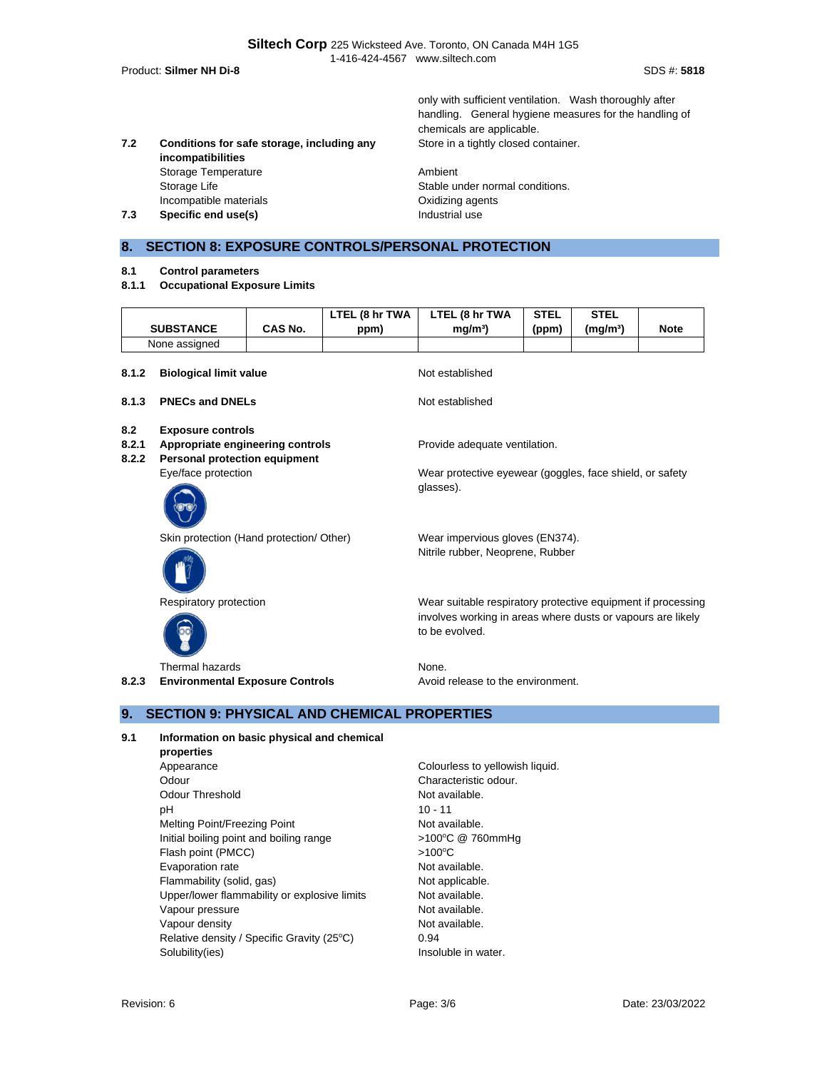Product: **Silmer NH Di-8** SDS #: **5818**

only with sufficient ventilation. Wash thoroughly after handling. General hygiene measures for the handling of chemicals are applicable. Store in a tightly closed container.

**7.2 Conditions for safe storage, including any incompatibilities** Storage Temperature **Ambient** Storage Life Stable under normal conditions. Incompatible materials Oxidizing agents **7.3 Specific end use(s) Industrial use** 

## **8. SECTION 8: EXPOSURE CONTROLS/PERSONAL PROTECTION**

- **8.1 Control parameters**
- **8.1.1 Occupational Exposure Limits**

|                       | <b>SUBSTANCE</b>                                                                                     | CAS No. | LTEL (8 hr TWA<br>ppm) | LTEL (8 hr TWA<br>mq/m <sup>3</sup>                                                                                                           | <b>STEL</b><br>(ppm) | <b>STEL</b><br>(mg/m <sup>3</sup> ) | <b>Note</b> |  |
|-----------------------|------------------------------------------------------------------------------------------------------|---------|------------------------|-----------------------------------------------------------------------------------------------------------------------------------------------|----------------------|-------------------------------------|-------------|--|
|                       | None assigned                                                                                        |         |                        |                                                                                                                                               |                      |                                     |             |  |
| 8.1.2                 | <b>Biological limit value</b>                                                                        |         |                        | Not established                                                                                                                               |                      |                                     |             |  |
| 8.1.3                 | <b>PNECs and DNELs</b>                                                                               |         |                        | Not established                                                                                                                               |                      |                                     |             |  |
| 8.2<br>8.2.1<br>8.2.2 | <b>Exposure controls</b><br>Appropriate engineering controls<br><b>Personal protection equipment</b> |         |                        | Provide adequate ventilation.                                                                                                                 |                      |                                     |             |  |
|                       | Eye/face protection                                                                                  |         |                        | Wear protective eyewear (goggles, face shield, or safety<br>glasses).                                                                         |                      |                                     |             |  |
|                       | Skin protection (Hand protection/ Other)                                                             |         |                        | Wear impervious gloves (EN374).<br>Nitrile rubber, Neoprene, Rubber                                                                           |                      |                                     |             |  |
|                       | Respiratory protection                                                                               |         |                        | Wear suitable respiratory protective equipment if processing<br>involves working in areas where dusts or vapours are likely<br>to be evolved. |                      |                                     |             |  |
| 8.2.3                 | Thermal hazards<br><b>Environmental Exposure Controls</b>                                            |         |                        | None.<br>Avoid release to the environment.                                                                                                    |                      |                                     |             |  |

## **9. SECTION 9: PHYSICAL AND CHEMICAL PROPERTIES**

- **9.1 Information on basic physical and chemical properties**
	- Appearance **Colourless** to yellowish liquid. Odour Characteristic odour. Odour Threshold Not available. pH 10 - 11 Melting Point/Freezing Point Not available. Initial boiling point and boiling range  $>100^{\circ}C$  @ 760mmHg Flash point (PMCC) >100°C Evaporation rate Not available. Flammability (solid, gas) Not applicable. Upper/lower flammability or explosive limits Not available. Vapour pressure Not available. Vapour density and the set of the Not available. Relative density / Specific Gravity (25°C) 0.94 Solubility(ies) **Insoluble in water.**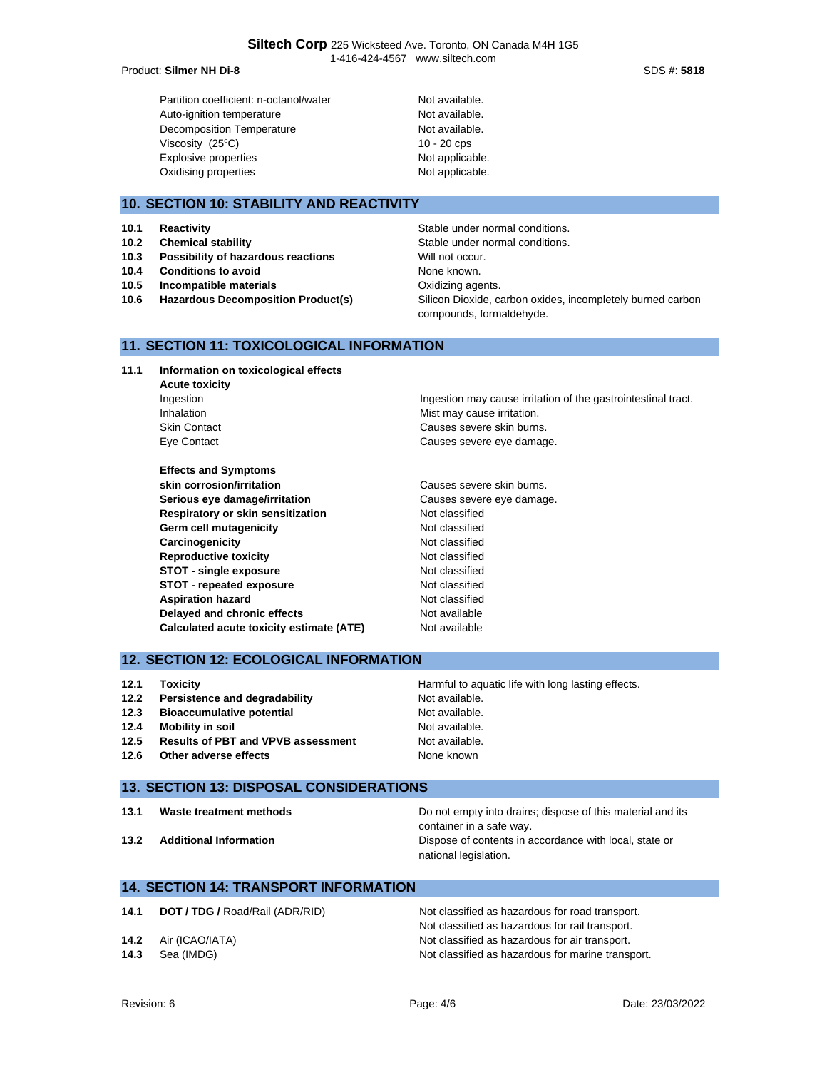**Siltech Corp** 225 Wicksteed Ave. Toronto, ON Canada M4H 1G5 1-416-424-4567 www.siltech.com

#### Product: **Silmer NH Di-8** SDS #: **5818**

Partition coefficient: n-octanol/water Not available. Auto-ignition temperature Not available. Decomposition Temperature Not available. Viscosity  $(25^{\circ}C)$  10 - 20 cps Explosive properties Not applicable. Oxidising properties Not applicable.

## **10. SECTION 10: STABILITY AND REACTIVITY**

- 
- 
- **10.3 Possibility of hazardous reactions** Will not occur.
- **10.4 Conditions to avoid** None known.
- **10.5 Incompatible materials 10.5 Incompatible materials**
- 

**10.1 Reactivity Reactivity Reactivity Stable under normal conditions. 10.2 Chemical stability Chemical stability** Stable under normal conditions. **10.6 Hazardous Decomposition Product(s)** Silicon Dioxide, carbon oxides, incompletely burned carbon compounds, formaldehyde.

#### **11. SECTION 11: TOXICOLOGICAL INFORMATION**

**11.1 Information on toxicological effects Acute toxicity** Inhalation **Mist may cause irritation**. Skin Contact **Causes severe skin burns.** 

**Effects and Symptoms skin corrosion/irritation** extended the Causes severe skin burns. Serious eye damage/irritation **Causes severe eye damage. Respiratory or skin sensitization** Not classified Germ cell mutagenicity **CERT CONTENTS** Not classified **Carcinogenicity Carcinogenicity Not classified Reproductive toxicity Not classified STOT - single exposure** Not classified **STOT - repeated exposure** Not classified **Aspiration hazard** Not classified **Delayed and chronic effects** Not available **Calculated acute toxicity estimate (ATE)** Not available

Ingestion Ingestion Ingestion may cause irritation of the gastrointestinal tract. Eye Contact **Causes** severe eye damage.

### **12. SECTION 12: ECOLOGICAL INFORMATION**

- **12.1 Toxicity Harmful to aquatic life with long lasting effects.**
- **12.2** Persistence and degradability **Not** available.
- **12.3 Bioaccumulative potential** Mot available.
- 
- **12.5 Results of PBT and VPVB assessment** Not available.
- **12.6** Other adverse effects None known

## **13. SECTION 13: DISPOSAL CONSIDERATIONS**

- 
- 

**13.1 Waste treatment methods Do not empty into drains; dispose of this material and its** container in a safe way. **13.2 Additional Information** Dispose of contents in accordance with local, state or national legislation.

## **14. SECTION 14: TRANSPORT INFORMATION**

**14.1 <b>DOT / TDG /** Road/Rail (ADR/RID) Not classified as hazardous for road transport. Not classified as hazardous for rail transport. **14.2** Air (ICAO/IATA) **Not classified as hazardous for air transport. 14.3** Sea (IMDG) **Note classified as hazardous for marine transport.** 

**12.4 Mobility in soil** Not available.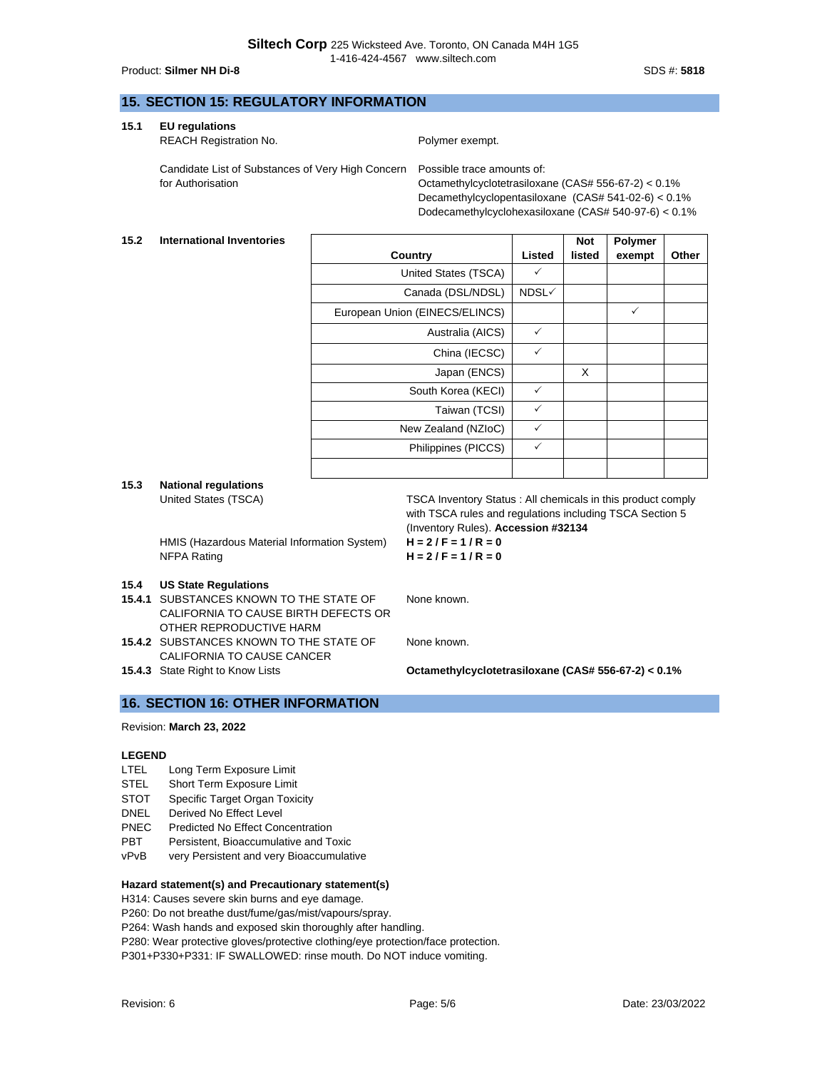#### Product: **Silmer NH Di-8** SDS #: **5818**

## **15. SECTION 15: REGULATORY INFORMATION**

**15.1 EU regulations**

REACH Registration No. **Polymer exempt.** 

Candidate List of Substances of Very High Concern for Authorisation

Possible trace amounts of: Octamethylcyclotetrasiloxane (CAS# 556-67-2) < 0.1% Decamethylcyclopentasiloxane (CAS# 541-02-6) < 0.1% Dodecamethylcyclohexasiloxane (CAS# 540-97-6) < 0.1%

#### **15.2 International Inventories**

|                                |        | <b>Not</b> | <b>Polymer</b> |       |
|--------------------------------|--------|------------|----------------|-------|
| Country                        | Listed | listed     | exempt         | Other |
| United States (TSCA)           | ✓      |            |                |       |
| Canada (DSL/NDSL)              | NDSL√  |            |                |       |
| European Union (EINECS/ELINCS) |        |            | ✓              |       |
| Australia (AICS)               | ✓      |            |                |       |
| China (IECSC)                  | ✓      |            |                |       |
| Japan (ENCS)                   |        | X          |                |       |
| South Korea (KECI)             | ✓      |            |                |       |
| Taiwan (TCSI)                  | ✓      |            |                |       |
| New Zealand (NZIoC)            | ✓      |            |                |       |
| Philippines (PICCS)            | ✓      |            |                |       |
|                                |        |            |                |       |

# **15.3 National regulations**

HMIS (Hazardous Material Information System) **H = 2 / F = 1 / R = 0** NFPA Rating **H = 2 / F = 1 / R = 0**

#### **15.4 US State Regulations**

- **15.4.1** SUBSTANCES KNOWN TO THE STATE OF CALIFORNIA TO CAUSE BIRTH DEFECTS OR OTHER REPRODUCTIVE HARM
- **15.4.2** SUBSTANCES KNOWN TO THE STATE OF CALIFORNIA TO CAUSE CANCER
- 

United States (TSCA) TSCA Inventory Status : All chemicals in this product comply with TSCA rules and regulations including TSCA Section 5 (Inventory Rules). **Accession #32134**

None known.

None known.

**15.4.3** State Right to Know Lists **Octamethylcyclotetrasiloxane (CAS# 556-67-2) < 0.1%**

## **16. SECTION 16: OTHER INFORMATION**

### Revision: **March 23, 2022**

#### **LEGEND**

- LTEL Long Term Exposure Limit
- STEL Short Term Exposure Limit
- STOT Specific Target Organ Toxicity
- DNEL Derived No Effect Level
- PNEC Predicted No Effect Concentration
- PBT Persistent, Bioaccumulative and Toxic
- vPvB very Persistent and very Bioaccumulative

#### **Hazard statement(s) and Precautionary statement(s)**

H314: Causes severe skin burns and eye damage.

P260: Do not breathe dust/fume/gas/mist/vapours/spray.

P264: Wash hands and exposed skin thoroughly after handling.

P280: Wear protective gloves/protective clothing/eye protection/face protection.

P301+P330+P331: IF SWALLOWED: rinse mouth. Do NOT induce vomiting.